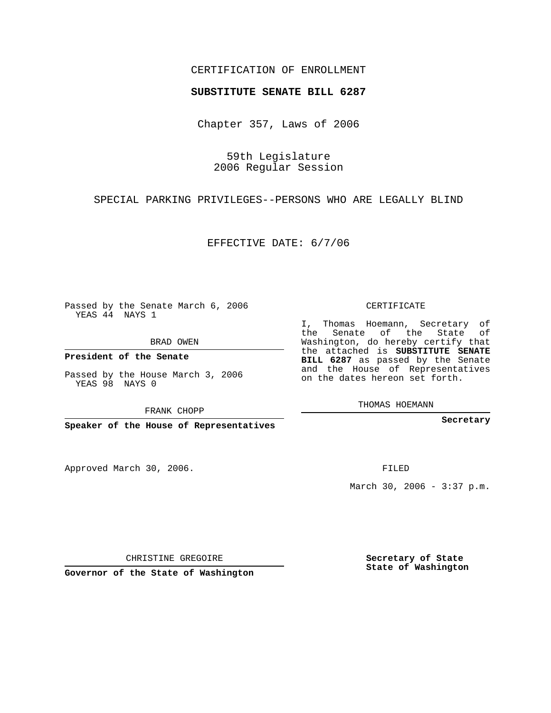## CERTIFICATION OF ENROLLMENT

## **SUBSTITUTE SENATE BILL 6287**

Chapter 357, Laws of 2006

59th Legislature 2006 Regular Session

SPECIAL PARKING PRIVILEGES--PERSONS WHO ARE LEGALLY BLIND

EFFECTIVE DATE: 6/7/06

Passed by the Senate March 6, 2006 YEAS 44 NAYS 1

BRAD OWEN

**President of the Senate**

Passed by the House March 3, 2006 YEAS 98 NAYS 0

FRANK CHOPP

**Speaker of the House of Representatives**

Approved March 30, 2006.

CERTIFICATE

I, Thomas Hoemann, Secretary of the Senate of the State of Washington, do hereby certify that the attached is **SUBSTITUTE SENATE BILL 6287** as passed by the Senate and the House of Representatives on the dates hereon set forth.

THOMAS HOEMANN

**Secretary**

FILED

March 30, 2006 - 3:37 p.m.

CHRISTINE GREGOIRE

**Governor of the State of Washington**

**Secretary of State State of Washington**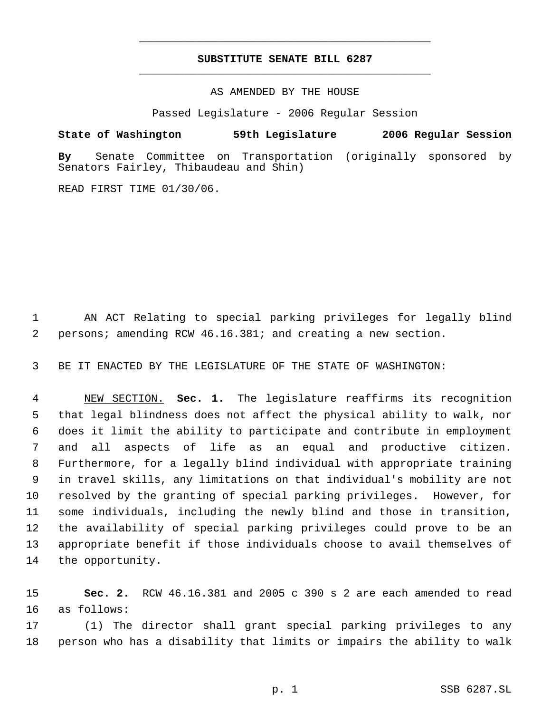## **SUBSTITUTE SENATE BILL 6287** \_\_\_\_\_\_\_\_\_\_\_\_\_\_\_\_\_\_\_\_\_\_\_\_\_\_\_\_\_\_\_\_\_\_\_\_\_\_\_\_\_\_\_\_\_

\_\_\_\_\_\_\_\_\_\_\_\_\_\_\_\_\_\_\_\_\_\_\_\_\_\_\_\_\_\_\_\_\_\_\_\_\_\_\_\_\_\_\_\_\_

AS AMENDED BY THE HOUSE

Passed Legislature - 2006 Regular Session

## **State of Washington 59th Legislature 2006 Regular Session**

**By** Senate Committee on Transportation (originally sponsored by Senators Fairley, Thibaudeau and Shin)

READ FIRST TIME 01/30/06.

 AN ACT Relating to special parking privileges for legally blind persons; amending RCW 46.16.381; and creating a new section.

BE IT ENACTED BY THE LEGISLATURE OF THE STATE OF WASHINGTON:

 NEW SECTION. **Sec. 1.** The legislature reaffirms its recognition that legal blindness does not affect the physical ability to walk, nor does it limit the ability to participate and contribute in employment and all aspects of life as an equal and productive citizen. Furthermore, for a legally blind individual with appropriate training in travel skills, any limitations on that individual's mobility are not resolved by the granting of special parking privileges. However, for some individuals, including the newly blind and those in transition, the availability of special parking privileges could prove to be an appropriate benefit if those individuals choose to avail themselves of the opportunity.

 **Sec. 2.** RCW 46.16.381 and 2005 c 390 s 2 are each amended to read as follows:

 (1) The director shall grant special parking privileges to any person who has a disability that limits or impairs the ability to walk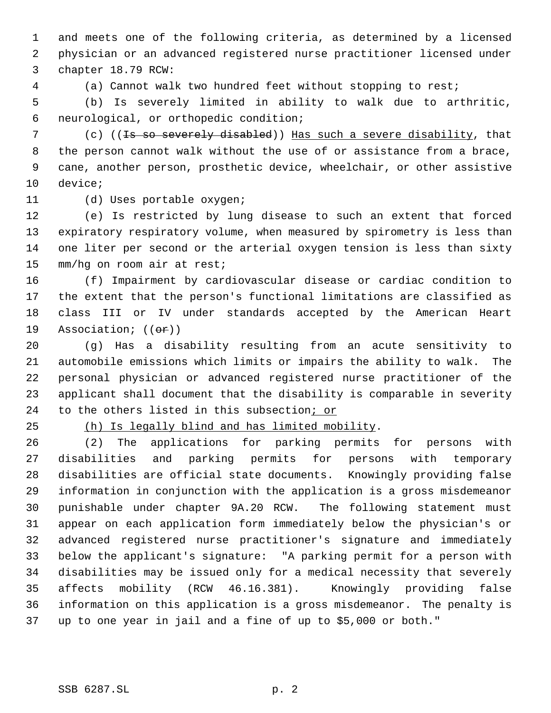and meets one of the following criteria, as determined by a licensed physician or an advanced registered nurse practitioner licensed under chapter 18.79 RCW:

(a) Cannot walk two hundred feet without stopping to rest;

 (b) Is severely limited in ability to walk due to arthritic, neurological, or orthopedic condition;

7 (c) ((<del>Is so severely disabled</del>)) Has such a severe disability, that the person cannot walk without the use of or assistance from a brace, cane, another person, prosthetic device, wheelchair, or other assistive device;

(d) Uses portable oxygen;

 (e) Is restricted by lung disease to such an extent that forced expiratory respiratory volume, when measured by spirometry is less than one liter per second or the arterial oxygen tension is less than sixty mm/hg on room air at rest;

 (f) Impairment by cardiovascular disease or cardiac condition to the extent that the person's functional limitations are classified as class III or IV under standards accepted by the American Heart 19 Association;  $((\theta \cdot \mathbf{r}))$ 

 (g) Has a disability resulting from an acute sensitivity to automobile emissions which limits or impairs the ability to walk. The personal physician or advanced registered nurse practitioner of the applicant shall document that the disability is comparable in severity 24 to the others listed in this subsection; or

(h) Is legally blind and has limited mobility.

 (2) The applications for parking permits for persons with disabilities and parking permits for persons with temporary disabilities are official state documents. Knowingly providing false information in conjunction with the application is a gross misdemeanor punishable under chapter 9A.20 RCW. The following statement must appear on each application form immediately below the physician's or advanced registered nurse practitioner's signature and immediately below the applicant's signature: "A parking permit for a person with disabilities may be issued only for a medical necessity that severely affects mobility (RCW 46.16.381). Knowingly providing false information on this application is a gross misdemeanor. The penalty is up to one year in jail and a fine of up to \$5,000 or both."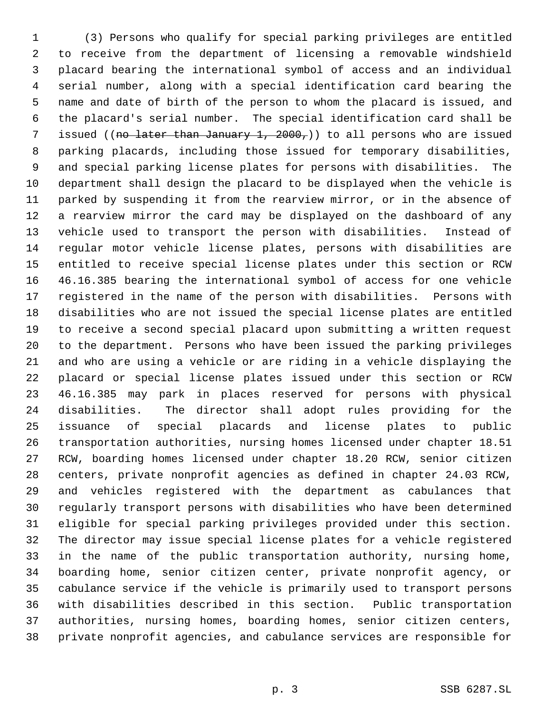(3) Persons who qualify for special parking privileges are entitled to receive from the department of licensing a removable windshield placard bearing the international symbol of access and an individual serial number, along with a special identification card bearing the name and date of birth of the person to whom the placard is issued, and the placard's serial number. The special identification card shall be 7 issued ((no later than January 1, 2000,)) to all persons who are issued parking placards, including those issued for temporary disabilities, and special parking license plates for persons with disabilities. The department shall design the placard to be displayed when the vehicle is parked by suspending it from the rearview mirror, or in the absence of a rearview mirror the card may be displayed on the dashboard of any vehicle used to transport the person with disabilities. Instead of regular motor vehicle license plates, persons with disabilities are entitled to receive special license plates under this section or RCW 46.16.385 bearing the international symbol of access for one vehicle registered in the name of the person with disabilities. Persons with disabilities who are not issued the special license plates are entitled to receive a second special placard upon submitting a written request to the department. Persons who have been issued the parking privileges and who are using a vehicle or are riding in a vehicle displaying the placard or special license plates issued under this section or RCW 46.16.385 may park in places reserved for persons with physical disabilities. The director shall adopt rules providing for the issuance of special placards and license plates to public transportation authorities, nursing homes licensed under chapter 18.51 RCW, boarding homes licensed under chapter 18.20 RCW, senior citizen centers, private nonprofit agencies as defined in chapter 24.03 RCW, and vehicles registered with the department as cabulances that regularly transport persons with disabilities who have been determined eligible for special parking privileges provided under this section. The director may issue special license plates for a vehicle registered in the name of the public transportation authority, nursing home, boarding home, senior citizen center, private nonprofit agency, or cabulance service if the vehicle is primarily used to transport persons with disabilities described in this section. Public transportation authorities, nursing homes, boarding homes, senior citizen centers, private nonprofit agencies, and cabulance services are responsible for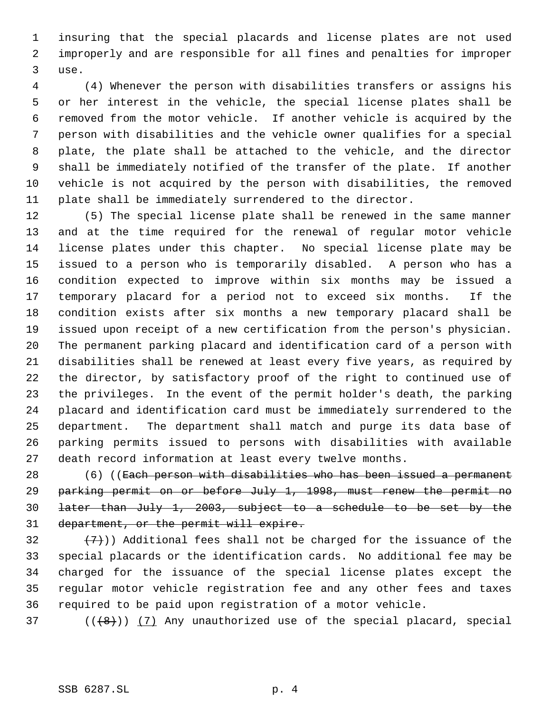insuring that the special placards and license plates are not used improperly and are responsible for all fines and penalties for improper use.

 (4) Whenever the person with disabilities transfers or assigns his or her interest in the vehicle, the special license plates shall be removed from the motor vehicle. If another vehicle is acquired by the person with disabilities and the vehicle owner qualifies for a special plate, the plate shall be attached to the vehicle, and the director shall be immediately notified of the transfer of the plate. If another vehicle is not acquired by the person with disabilities, the removed plate shall be immediately surrendered to the director.

 (5) The special license plate shall be renewed in the same manner and at the time required for the renewal of regular motor vehicle license plates under this chapter. No special license plate may be issued to a person who is temporarily disabled. A person who has a condition expected to improve within six months may be issued a temporary placard for a period not to exceed six months. If the condition exists after six months a new temporary placard shall be issued upon receipt of a new certification from the person's physician. The permanent parking placard and identification card of a person with disabilities shall be renewed at least every five years, as required by the director, by satisfactory proof of the right to continued use of the privileges. In the event of the permit holder's death, the parking placard and identification card must be immediately surrendered to the department. The department shall match and purge its data base of parking permits issued to persons with disabilities with available death record information at least every twelve months.

 (6) ((Each person with disabilities who has been issued a permanent parking permit on or before July 1, 1998, must renew the permit no later than July 1, 2003, subject to a schedule to be set by the department, or the permit will expire.

 $(7)$ )) Additional fees shall not be charged for the issuance of the special placards or the identification cards. No additional fee may be charged for the issuance of the special license plates except the regular motor vehicle registration fee and any other fees and taxes required to be paid upon registration of a motor vehicle.

( $(\overline{8})$ ) (7) Any unauthorized use of the special placard, special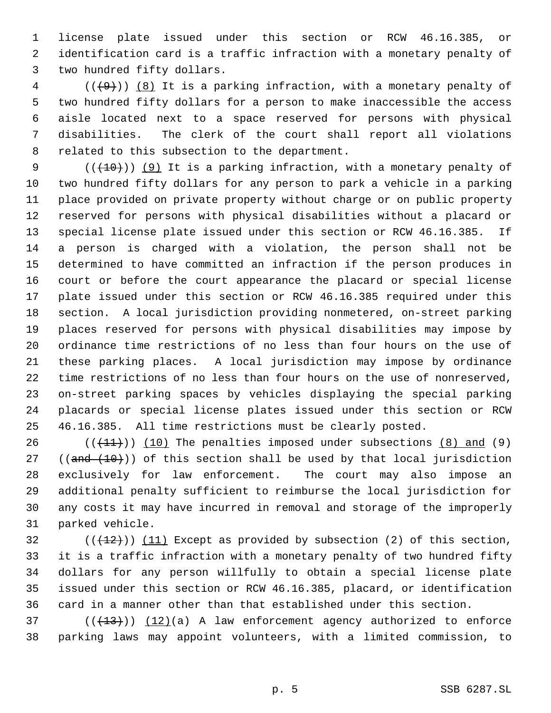license plate issued under this section or RCW 46.16.385, or identification card is a traffic infraction with a monetary penalty of two hundred fifty dollars.

 (( $(49)$ )) (8) It is a parking infraction, with a monetary penalty of two hundred fifty dollars for a person to make inaccessible the access aisle located next to a space reserved for persons with physical disabilities. The clerk of the court shall report all violations related to this subsection to the department.

 $((+10))$  (9) It is a parking infraction, with a monetary penalty of two hundred fifty dollars for any person to park a vehicle in a parking place provided on private property without charge or on public property reserved for persons with physical disabilities without a placard or special license plate issued under this section or RCW 46.16.385. If a person is charged with a violation, the person shall not be determined to have committed an infraction if the person produces in court or before the court appearance the placard or special license plate issued under this section or RCW 46.16.385 required under this section. A local jurisdiction providing nonmetered, on-street parking places reserved for persons with physical disabilities may impose by ordinance time restrictions of no less than four hours on the use of these parking places. A local jurisdiction may impose by ordinance time restrictions of no less than four hours on the use of nonreserved, on-street parking spaces by vehicles displaying the special parking placards or special license plates issued under this section or RCW 46.16.385. All time restrictions must be clearly posted.

 $((+11))$   $(10)$  The penalties imposed under subsections  $(8)$  and  $(9)$ 27 (( $\text{and } (10)$ )) of this section shall be used by that local jurisdiction exclusively for law enforcement. The court may also impose an additional penalty sufficient to reimburse the local jurisdiction for any costs it may have incurred in removal and storage of the improperly parked vehicle.

 $((+12))$   $(11)$  Except as provided by subsection (2) of this section, it is a traffic infraction with a monetary penalty of two hundred fifty dollars for any person willfully to obtain a special license plate issued under this section or RCW 46.16.385, placard, or identification card in a manner other than that established under this section.

 ( $(\overline{+13})$ )  $(12)(a)$  A law enforcement agency authorized to enforce parking laws may appoint volunteers, with a limited commission, to